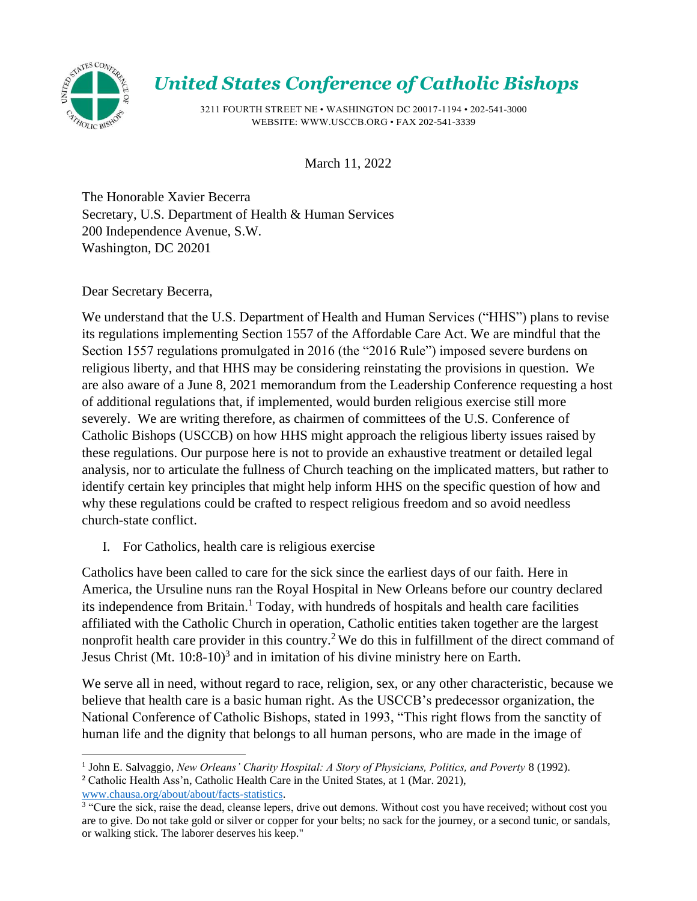

## *United States Conference of Catholic Bishops*

3211 FOURTH STREET NE • WASHINGTON DC 20017-1194 • 202-541-3000 WEBSITE: [WWW.USCCB.ORG • F](http://www.usccb.org/)AX 202-541-3339

March 11, 2022

The Honorable Xavier Becerra Secretary, U.S. Department of Health & Human Services 200 Independence Avenue, S.W. Washington, DC 20201

Dear Secretary Becerra,

We understand that the U.S. Department of Health and Human Services ("HHS") plans to revise its regulations implementing Section 1557 of the Affordable Care Act. We are mindful that the Section 1557 regulations promulgated in 2016 (the "2016 Rule") imposed severe burdens on religious liberty, and that HHS may be considering reinstating the provisions in question. We are also aware of a June 8, 2021 memorandum from the Leadership Conference requesting a host of additional regulations that, if implemented, would burden religious exercise still more severely. We are writing therefore, as chairmen of committees of the U.S. Conference of Catholic Bishops (USCCB) on how HHS might approach the religious liberty issues raised by these regulations. Our purpose here is not to provide an exhaustive treatment or detailed legal analysis, nor to articulate the fullness of Church teaching on the implicated matters, but rather to identify certain key principles that might help inform HHS on the specific question of how and why these regulations could be crafted to respect religious freedom and so avoid needless church-state conflict.

I. For Catholics, health care is religious exercise

Catholics have been called to care for the sick since the earliest days of our faith. Here in America, the Ursuline nuns ran the Royal Hospital in New Orleans before our country declared its independence from Britain. <sup>1</sup> Today, with hundreds of hospitals and health care facilities affiliated with the Catholic Church in operation, Catholic entities taken together are the largest nonprofit health care provider in this country.<sup>2</sup> We do this in fulfillment of the direct command of Jesus Christ (Mt. 10:8-10)<sup>3</sup> and in imitation of his divine ministry here on Earth.

We serve all in need, without regard to race, religion, sex, or any other characteristic, because we believe that health care is a basic human right. As the USCCB's predecessor organization, the National Conference of Catholic Bishops, stated in 1993, "This right flows from the sanctity of human life and the dignity that belongs to all human persons, who are made in the image of

<sup>2</sup> Catholic Health Ass'n, Catholic Health Care in the United States, at 1 (Mar. 2021), [www.chausa.org/about/about/facts-statistics.](http://www.chausa.org/about/about/facts-statistics)

<sup>1</sup> John E. Salvaggio, *New Orleans' Charity Hospital: A Story of Physicians, Politics, and Poverty* 8 (1992).

<sup>&</sup>lt;sup>3</sup> "Cure the sick, raise the dead, cleanse lepers, drive out demons. Without cost you have received; without cost you are to give. Do not take gold or silver or copper for your belts; no sack for the journey, or a second tunic, or sandals, or walking stick. The laborer deserves his keep."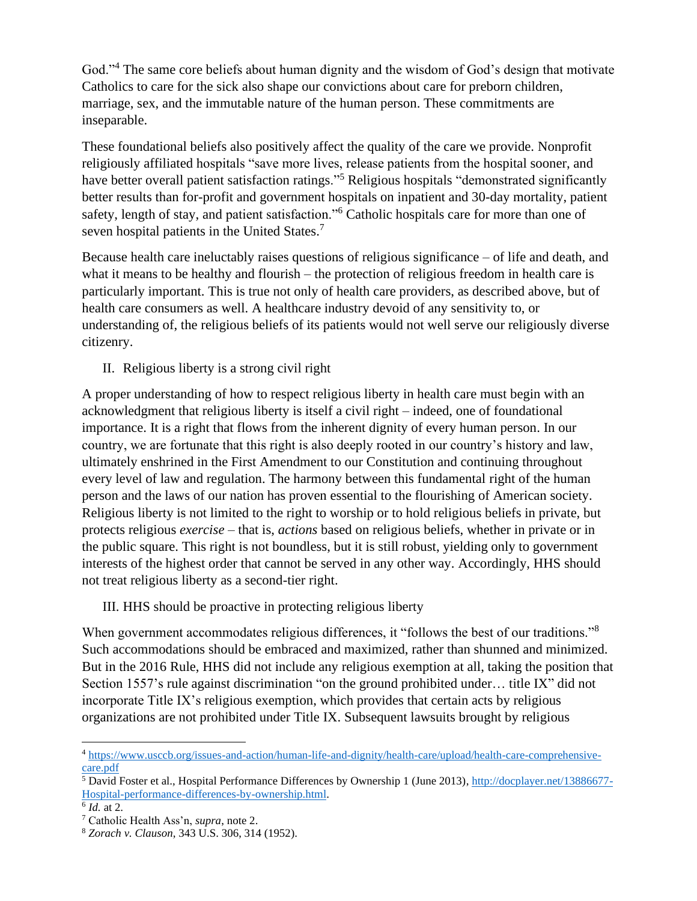God."<sup>4</sup> The same core beliefs about human dignity and the wisdom of God's design that motivate Catholics to care for the sick also shape our convictions about care for preborn children, marriage, sex, and the immutable nature of the human person. These commitments are inseparable.

These foundational beliefs also positively affect the quality of the care we provide. Nonprofit religiously affiliated hospitals "save more lives, release patients from the hospital sooner, and have better overall patient satisfaction ratings."<sup>5</sup> Religious hospitals "demonstrated significantly better results than for-profit and government hospitals on inpatient and 30-day mortality, patient safety, length of stay, and patient satisfaction."<sup>6</sup> Catholic hospitals care for more than one of seven hospital patients in the United States.<sup>7</sup>

Because health care ineluctably raises questions of religious significance – of life and death, and what it means to be healthy and flourish – the protection of religious freedom in health care is particularly important. This is true not only of health care providers, as described above, but of health care consumers as well. A healthcare industry devoid of any sensitivity to, or understanding of, the religious beliefs of its patients would not well serve our religiously diverse citizenry.

II. Religious liberty is a strong civil right

A proper understanding of how to respect religious liberty in health care must begin with an acknowledgment that religious liberty is itself a civil right – indeed, one of foundational importance. It is a right that flows from the inherent dignity of every human person. In our country, we are fortunate that this right is also deeply rooted in our country's history and law, ultimately enshrined in the First Amendment to our Constitution and continuing throughout every level of law and regulation. The harmony between this fundamental right of the human person and the laws of our nation has proven essential to the flourishing of American society. Religious liberty is not limited to the right to worship or to hold religious beliefs in private, but protects religious *exercise* – that is, *actions* based on religious beliefs, whether in private or in the public square. This right is not boundless, but it is still robust, yielding only to government interests of the highest order that cannot be served in any other way. Accordingly, HHS should not treat religious liberty as a second-tier right.

III. HHS should be proactive in protecting religious liberty

When government accommodates religious differences, it "follows the best of our traditions."<sup>8</sup> Such accommodations should be embraced and maximized, rather than shunned and minimized. But in the 2016 Rule, HHS did not include any religious exemption at all, taking the position that Section 1557's rule against discrimination "on the ground prohibited under... title IX" did not incorporate Title IX's religious exemption, which provides that certain acts by religious organizations are not prohibited under Title IX. Subsequent lawsuits brought by religious

<sup>4</sup> [https://www.usccb.org/issues-and-action/human-life-and-dignity/health-care/upload/health-care-comprehensive](https://www.usccb.org/issues-and-action/human-life-and-dignity/health-care/upload/health-care-comprehensive-care.pdf)[care.pdf](https://www.usccb.org/issues-and-action/human-life-and-dignity/health-care/upload/health-care-comprehensive-care.pdf)

<sup>5</sup> David Foster et al., Hospital Performance Differences by Ownership 1 (June 2013)[, http://docplayer.net/13886677-](http://docplayer.net/13886677-Hospital-performance-differences-by-ownership.html) [Hospital-performance-differences-by-ownership.html.](http://docplayer.net/13886677-Hospital-performance-differences-by-ownership.html)

<sup>6</sup> *Id.* at 2.

<sup>7</sup> Catholic Health Ass'n, *supra*, note 2.

<sup>8</sup> *Zorach v. Clauson*, 343 U.S. 306, 314 (1952).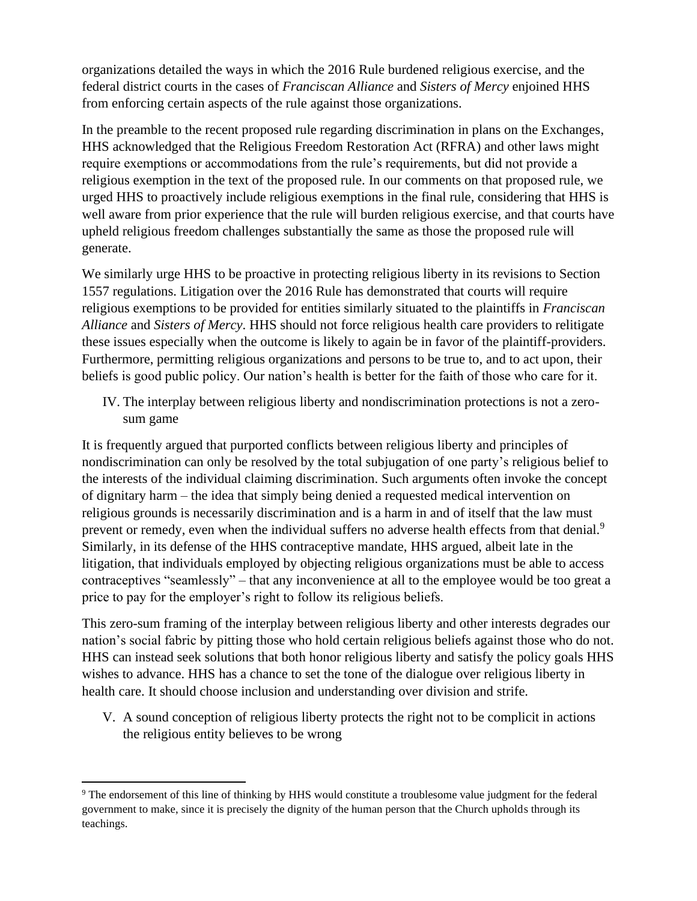organizations detailed the ways in which the 2016 Rule burdened religious exercise, and the federal district courts in the cases of *Franciscan Alliance* and *Sisters of Mercy* enjoined HHS from enforcing certain aspects of the rule against those organizations.

In the preamble to the recent proposed rule regarding discrimination in plans on the Exchanges, HHS acknowledged that the Religious Freedom Restoration Act (RFRA) and other laws might require exemptions or accommodations from the rule's requirements, but did not provide a religious exemption in the text of the proposed rule. In our comments on that proposed rule, we urged HHS to proactively include religious exemptions in the final rule, considering that HHS is well aware from prior experience that the rule will burden religious exercise, and that courts have upheld religious freedom challenges substantially the same as those the proposed rule will generate.

We similarly urge HHS to be proactive in protecting religious liberty in its revisions to Section 1557 regulations. Litigation over the 2016 Rule has demonstrated that courts will require religious exemptions to be provided for entities similarly situated to the plaintiffs in *Franciscan Alliance* and *Sisters of Mercy*. HHS should not force religious health care providers to relitigate these issues especially when the outcome is likely to again be in favor of the plaintiff-providers. Furthermore, permitting religious organizations and persons to be true to, and to act upon, their beliefs is good public policy. Our nation's health is better for the faith of those who care for it.

IV. The interplay between religious liberty and nondiscrimination protections is not a zerosum game

It is frequently argued that purported conflicts between religious liberty and principles of nondiscrimination can only be resolved by the total subjugation of one party's religious belief to the interests of the individual claiming discrimination. Such arguments often invoke the concept of dignitary harm – the idea that simply being denied a requested medical intervention on religious grounds is necessarily discrimination and is a harm in and of itself that the law must prevent or remedy, even when the individual suffers no adverse health effects from that denial.<sup>9</sup> Similarly, in its defense of the HHS contraceptive mandate, HHS argued, albeit late in the litigation, that individuals employed by objecting religious organizations must be able to access contraceptives "seamlessly" – that any inconvenience at all to the employee would be too great a price to pay for the employer's right to follow its religious beliefs.

This zero-sum framing of the interplay between religious liberty and other interests degrades our nation's social fabric by pitting those who hold certain religious beliefs against those who do not. HHS can instead seek solutions that both honor religious liberty and satisfy the policy goals HHS wishes to advance. HHS has a chance to set the tone of the dialogue over religious liberty in health care. It should choose inclusion and understanding over division and strife.

V. A sound conception of religious liberty protects the right not to be complicit in actions the religious entity believes to be wrong

<sup>9</sup> The endorsement of this line of thinking by HHS would constitute a troublesome value judgment for the federal government to make, since it is precisely the dignity of the human person that the Church upholds through its teachings.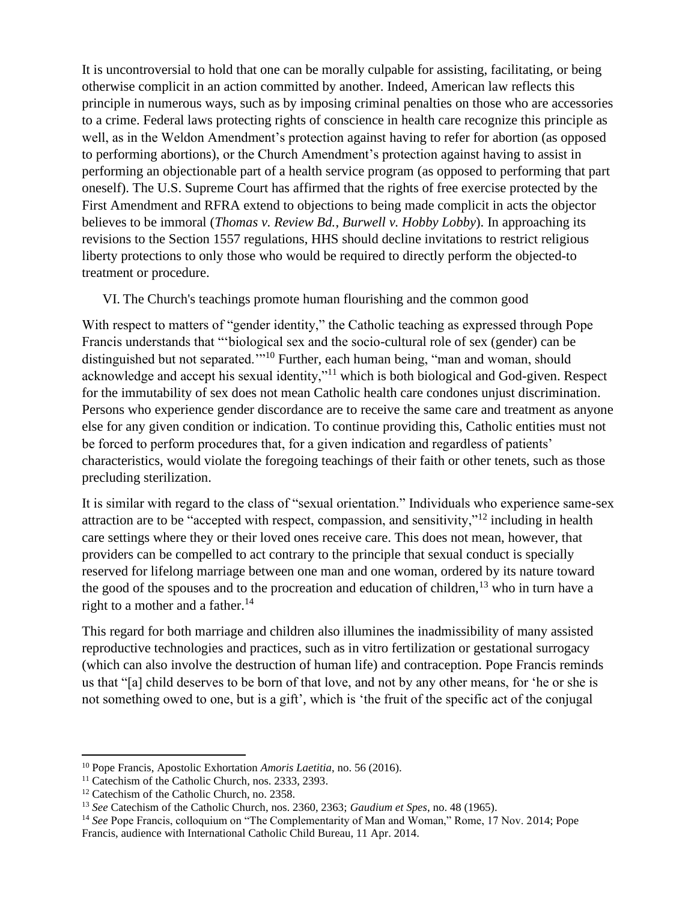It is uncontroversial to hold that one can be morally culpable for assisting, facilitating, or being otherwise complicit in an action committed by another. Indeed, American law reflects this principle in numerous ways, such as by imposing criminal penalties on those who are accessories to a crime. Federal laws protecting rights of conscience in health care recognize this principle as well, as in the Weldon Amendment's protection against having to refer for abortion (as opposed to performing abortions), or the Church Amendment's protection against having to assist in performing an objectionable part of a health service program (as opposed to performing that part oneself). The U.S. Supreme Court has affirmed that the rights of free exercise protected by the First Amendment and RFRA extend to objections to being made complicit in acts the objector believes to be immoral (*Thomas v. Review Bd.*, *Burwell v. Hobby Lobby*). In approaching its revisions to the Section 1557 regulations, HHS should decline invitations to restrict religious liberty protections to only those who would be required to directly perform the objected-to treatment or procedure.

VI. The Church's teachings promote human flourishing and the common good

With respect to matters of "gender identity," the Catholic teaching as expressed through Pope Francis understands that "'biological sex and the socio-cultural role of sex (gender) can be distinguished but not separated.<sup>'"10</sup> Further, each human being, "man and woman, should acknowledge and accept his sexual identity,"<sup>11</sup> which is both biological and God-given. Respect for the immutability of sex does not mean Catholic health care condones unjust discrimination. Persons who experience gender discordance are to receive the same care and treatment as anyone else for any given condition or indication. To continue providing this, Catholic entities must not be forced to perform procedures that, for a given indication and regardless of patients' characteristics, would violate the foregoing teachings of their faith or other tenets, such as those precluding sterilization.

It is similar with regard to the class of "sexual orientation." Individuals who experience same-sex attraction are to be "accepted with respect, compassion, and sensitivity,"<sup>12</sup> including in health care settings where they or their loved ones receive care. This does not mean, however, that providers can be compelled to act contrary to the principle that sexual conduct is specially reserved for lifelong marriage between one man and one woman, ordered by its nature toward the good of the spouses and to the procreation and education of children,  $^{13}$  who in turn have a right to a mother and a father. $14$ 

This regard for both marriage and children also illumines the inadmissibility of many assisted reproductive technologies and practices, such as in vitro fertilization or gestational surrogacy (which can also involve the destruction of human life) and contraception. Pope Francis reminds us that "[a] child deserves to be born of that love, and not by any other means, for 'he or she is not something owed to one, but is a gift', which is 'the fruit of the specific act of the conjugal

<sup>10</sup> Pope Francis, Apostolic Exhortation *Amoris Laetitia*, no. 56 (2016).

<sup>&</sup>lt;sup>11</sup> Catechism of the Catholic Church, nos. 2333, 2393.

<sup>&</sup>lt;sup>12</sup> Catechism of the Catholic Church, no. 2358.

<sup>13</sup> *See* Catechism of the Catholic Church, nos. 2360, 2363; *Gaudium et Spes*, no. 48 (1965).

<sup>&</sup>lt;sup>14</sup> *See* Pope Francis, colloquium on "The Complementarity of Man and Woman," Rome, 17 Nov. 2014; Pope Francis, audience with International Catholic Child Bureau, 11 Apr. 2014.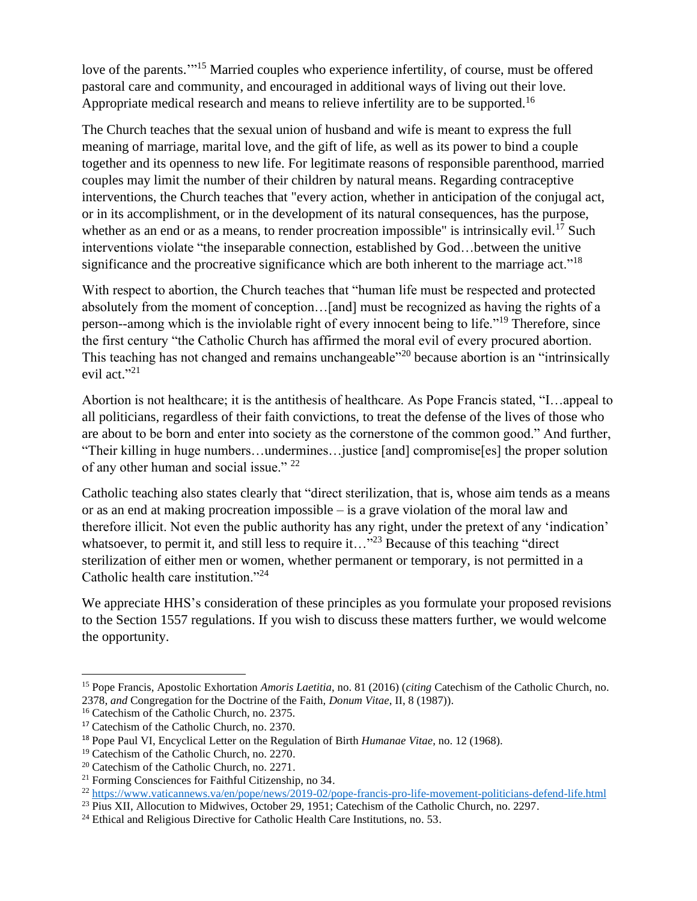love of the parents."<sup>15</sup> Married couples who experience infertility, of course, must be offered pastoral care and community, and encouraged in additional ways of living out their love. Appropriate medical research and means to relieve infertility are to be supported.<sup>16</sup>

The Church teaches that the sexual union of husband and wife is meant to express the full meaning of marriage, marital love, and the gift of life, as well as its power to bind a couple together and its openness to new life. For legitimate reasons of responsible parenthood, married couples may limit the number of their children by natural means. Regarding contraceptive interventions, the Church teaches that "every action, whether in anticipation of the conjugal act, or in its accomplishment, or in the development of its natural consequences, has the purpose, whether as an end or as a means, to render procreation impossible" is intrinsically evil.<sup>17</sup> Such interventions violate "the inseparable connection, established by God…between the unitive significance and the procreative significance which are both inherent to the marriage act."<sup>18</sup>

With respect to abortion, the Church teaches that "human life must be respected and protected absolutely from the moment of conception…[and] must be recognized as having the rights of a person--among which is the inviolable right of every innocent being to life."<sup>19</sup> Therefore, since the first century "the Catholic Church has affirmed the moral evil of every procured abortion. This teaching has not changed and remains unchangeable<sup>"20</sup> because abortion is an "intrinsically" evil act." 21

Abortion is not healthcare; it is the antithesis of healthcare. As Pope Francis stated, "I…appeal to all politicians, regardless of their faith convictions, to treat the defense of the lives of those who are about to be born and enter into society as the cornerstone of the common good." And further, "Their killing in huge numbers…undermines…justice [and] compromise[es] the proper solution of any other human and social issue." <sup>22</sup>

Catholic teaching also states clearly that "direct sterilization, that is, whose aim tends as a means or as an end at making procreation impossible – is a grave violation of the moral law and therefore illicit. Not even the public authority has any right, under the pretext of any 'indication' whatsoever, to permit it, and still less to require it..."<sup>23</sup> Because of this teaching "direct sterilization of either men or women, whether permanent or temporary, is not permitted in a Catholic health care institution."<sup>24</sup>

We appreciate HHS's consideration of these principles as you formulate your proposed revisions to the Section 1557 regulations. If you wish to discuss these matters further, we would welcome the opportunity.

<sup>15</sup> Pope Francis, Apostolic Exhortation *Amoris Laetitia*, no. 81 (2016) (*citing* Catechism of the Catholic Church, no. 2378, *and* Congregation for the Doctrine of the Faith, *Donum Vitae*, II, 8 (1987)).

<sup>16</sup> Catechism of the Catholic Church, no. 2375.

<sup>17</sup> Catechism of the Catholic Church, no. 2370.

<sup>18</sup> Pope Paul VI, Encyclical Letter on the Regulation of Birth *Humanae Vitae*, no. 12 (1968).

<sup>19</sup> Catechism of the Catholic Church, no. 2270.

<sup>20</sup> Catechism of the Catholic Church, no. 2271.

<sup>21</sup> Forming Consciences for Faithful Citizenship, no 34.

<sup>22</sup> <https://www.vaticannews.va/en/pope/news/2019-02/pope-francis-pro-life-movement-politicians-defend-life.html>

<sup>&</sup>lt;sup>23</sup> Pius XII, Allocution to Midwives, October 29, 1951; Catechism of the Catholic Church, no. 2297.

 $24$  Ethical and Religious Directive for Catholic Health Care Institutions, no. 53.